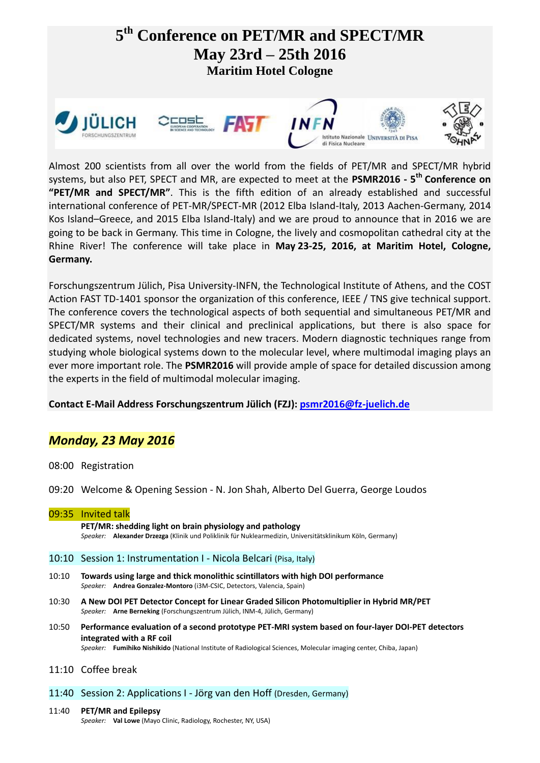

Almost 200 scientists from all over the world from the fields of PET/MR and SPECT/MR hybrid systems, but also PET, SPECT and MR, are expected to meet at the **PSMR2016 - 5 th Conference on "PET/MR and SPECT/MR"**. This is the fifth edition of an already established and successful international conference of PET-MR/SPECT-MR (2012 Elba Island-Italy, 2013 Aachen-Germany, 2014 Kos Island–Greece, and 2015 Elba Island-Italy) and we are proud to announce that in 2016 we are going to be back in Germany. This time in Cologne, the lively and cosmopolitan cathedral city at the Rhine River! The conference will take place in **May 23-25, 2016, at Maritim Hotel, Cologne, Germany.**

Forschungszentrum Jülich, Pisa University-INFN, the Technological Institute of Athens, and the COST Action FAST TD-1401 sponsor the organization of this conference, IEEE / TNS give technical support. The conference covers the technological aspects of both sequential and simultaneous PET/MR and SPECT/MR systems and their clinical and preclinical applications, but there is also space for dedicated systems, novel technologies and new tracers. Modern diagnostic techniques range from studying whole biological systems down to the molecular level, where multimodal imaging plays an ever more important role. The **PSMR2016** will provide ample of space for detailed discussion among the experts in the field of multimodal molecular imaging.

# **Contact E-Mail Address Forschungszentrum Jülich (FZJ): [psmr2016@fz-juelich.de](mailto:psmr2016@fz-juelich.de)**

# *Monday, 23 May 2016*

- 08:00 Registration
- 09:20 Welcome & Opening Session N. Jon Shah, Alberto Del Guerra, George Loudos
- 09:35 Invited talk **PET/MR: shedding light on brain physiology and pathology** *Speaker:* **Alexander Drzezga** (Klinik und Poliklinik für Nuklearmedizin, Universitätsklinikum Köln, Germany)

## 10:10 Session 1: Instrumentation I - Nicola Belcari (Pisa, Italy)

- 10:10 **Towards using large and thick monolithic scintillators with high DOI performance** *Speaker:* **Andrea Gonzalez-Montoro** (i3M-CSIC, Detectors, Valencia, Spain)
- 10:30 **A New DOI PET Detector Concept for Linear Graded Silicon Photomultiplier in Hybrid MR/PET** *Speaker:* **Arne Berneking** (Forschungszentrum Jülich, INM-4, Jülich, Germany)
- 10:50 **Performance evaluation of a second prototype PET-MRI system based on four-layer DOI-PET detectors integrated with a RF coil** *Speaker:* **Fumihiko Nishikido** (National Institute of Radiological Sciences, Molecular imaging center, Chiba, Japan)
- 11:10 Coffee break

## 11:40 Session 2: Applications I - Jörg van den Hoff (Dresden, Germany)

11:40 **PET/MR and Epilepsy** *Speaker:* **Val Lowe** (Mayo Clinic, Radiology, Rochester, NY, USA)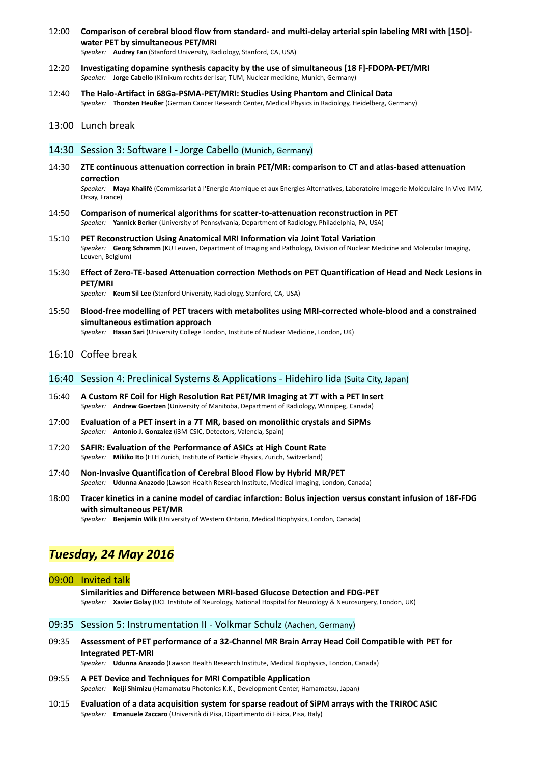- 12:00 **Comparison of cerebral blood flow from standard- and multi-delay arterial spin labeling MRI with [15O] water PET by simultaneous PET/MRI** *Speaker:* **Audrey Fan** (Stanford University, Radiology, Stanford, CA, USA)
- 12:20 **Investigating dopamine synthesis capacity by the use of simultaneous [18 F]-FDOPA-PET/MRI** *Speaker:* **Jorge Cabello** (Klinikum rechts der Isar, TUM, Nuclear medicine, Munich, Germany)
- 12:40 **The Halo-Artifact in 68Ga-PSMA-PET/MRI: Studies Using Phantom and Clinical Data** *Speaker:* **Thorsten Heußer** (German Cancer Research Center, Medical Physics in Radiology, Heidelberg, Germany)

### 13:00 Lunch break

### 14:30 Session 3: Software I - Jorge Cabello (Munich, Germany)

14:30 **ZTE continuous attenuation correction in brain PET/MR: comparison to CT and atlas-based attenuation correction**

*Speaker:* **Maya Khalifé** (Commissariat à l'Energie Atomique et aux Energies Alternatives, Laboratoire Imagerie Moléculaire In Vivo IMIV, Orsay, France)

- 14:50 **Comparison of numerical algorithms for scatter-to-attenuation reconstruction in PET** *Speaker:* **Yannick Berker** (University of Pennsylvania, Department of Radiology, Philadelphia, PA, USA)
- 15:10 **PET Reconstruction Using Anatomical MRI Information via Joint Total Variation** *Speaker:* **Georg Schramm** (KU Leuven, Department of Imaging and Pathology, Division of Nuclear Medicine and Molecular Imaging, Leuven, Belgium)
- 15:30 **Effect of Zero-TE-based Attenuation correction Methods on PET Quantification of Head and Neck Lesions in PET/MRI**

*Speaker:* **Keum Sil Lee** (Stanford University, Radiology, Stanford, CA, USA)

15:50 **Blood-free modelling of PET tracers with metabolites using MRI-corrected whole-blood and a constrained simultaneous estimation approach** *Speaker:* **Hasan Sari** (University College London, Institute of Nuclear Medicine, London, UK)

## 16:10 Coffee break

### 16:40 Session 4: Preclinical Systems & Applications - Hidehiro Iida (Suita City, Japan)

- 16:40 **A Custom RF Coil for High Resolution Rat PET/MR Imaging at 7T with a PET Insert** *Speaker:* **Andrew Goertzen** (University of Manitoba, Department of Radiology, Winnipeg, Canada)
- 17:00 **Evaluation of a PET insert in a 7T MR, based on monolithic crystals and SiPMs** *Speaker:* **Antonio J. Gonzalez** (i3M-CSIC, Detectors, Valencia, Spain)
- 17:20 **SAFIR: Evaluation of the Performance of ASICs at High Count Rate** *Speaker:* **Mikiko Ito** (ETH Zurich, Institute of Particle Physics, Zurich, Switzerland)
- 17:40 **Non-Invasive Quantification of Cerebral Blood Flow by Hybrid MR/PET** *Speaker:* **Udunna Anazodo** (Lawson Health Research Institute, Medical Imaging, London, Canada)
- 18:00 **Tracer kinetics in a canine model of cardiac infarction: Bolus injection versus constant infusion of 18F-FDG with simultaneous PET/MR**

*Speaker:* **Benjamin Wilk** (University of Western Ontario, Medical Biophysics, London, Canada)

# *Tuesday, 24 May 2016*

### 09:00 Invited talk

**Similarities and Difference between MRI-based Glucose Detection and FDG-PET** *Speaker:* **Xavier Golay** (UCL Institute of Neurology, National Hospital for Neurology & Neurosurgery, London, UK)

## 09:35 Session 5: Instrumentation II - Volkmar Schulz (Aachen, Germany)

09:35 **Assessment of PET performance of a 32-Channel MR Brain Array Head Coil Compatible with PET for Integrated PET-MRI**

*Speaker:* **Udunna Anazodo** (Lawson Health Research Institute, Medical Biophysics, London, Canada)

- 09:55 **A PET Device and Techniques for MRI Compatible Application** *Speaker:* **Keiji Shimizu** (Hamamatsu Photonics K.K., Development Center, Hamamatsu, Japan)
- 10:15 **Evaluation of a data acquisition system for sparse readout of SiPM arrays with the TRIROC ASIC** *Speaker:* **Emanuele Zaccaro** (Università di Pisa, Dipartimento di Fisica, Pisa, Italy)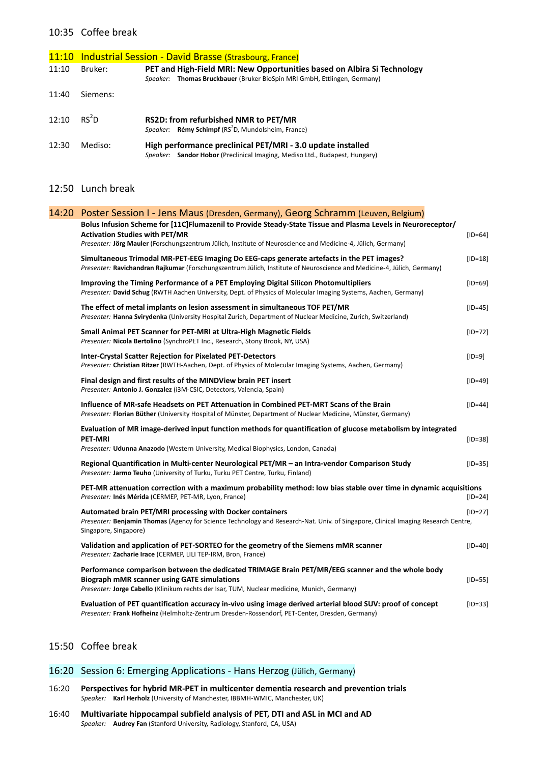## 10:35 Coffee break

|       |                   | 11:10 Industrial Session - David Brasse (Strasbourg, France)                                                                                        |
|-------|-------------------|-----------------------------------------------------------------------------------------------------------------------------------------------------|
| 11:10 | Bruker:           | PET and High-Field MRI: New Opportunities based on Albira Si Technology<br>Speaker: Thomas Bruckbauer (Bruker BioSpin MRI GmbH, Ettlingen, Germany) |
| 11:40 | Siemens:          |                                                                                                                                                     |
| 12:10 | RS <sup>2</sup> D | <b>RS2D: from refurbished NMR to PET/MR</b><br>Speaker: Rémy Schimpf (RS <sup>2</sup> D, Mundolsheim, France)                                       |
| 12:30 | Mediso:           | High performance preclinical PET/MRI - 3.0 update installed<br>Speaker: Sandor Hobor (Preclinical Imaging, Mediso Ltd., Budapest, Hungary)          |

# 12:50 Lunch break

| 14:20 Poster Session I - Jens Maus (Dresden, Germany), Georg Schramm (Leuven, Belgium)<br>Bolus Infusion Scheme for [11C]Flumazenil to Provide Steady-State Tissue and Plasma Levels in Neuroreceptor/                                                |           |
|-------------------------------------------------------------------------------------------------------------------------------------------------------------------------------------------------------------------------------------------------------|-----------|
| <b>Activation Studies with PET/MR</b><br>Presenter: Jörg Mauler (Forschungszentrum Jülich, Institute of Neuroscience and Medicine-4, Jülich, Germany)                                                                                                 | $[ID=64]$ |
| Simultaneous Trimodal MR-PET-EEG Imaging Do EEG-caps generate artefacts in the PET images?<br>Presenter: Ravichandran Rajkumar (Forschungszentrum Jülich, Institute of Neuroscience and Medicine-4, Jülich, Germany)                                  | $[ID=18]$ |
| Improving the Timing Performance of a PET Employing Digital Silicon Photomultipliers<br>Presenter: David Schug (RWTH Aachen University, Dept. of Physics of Molecular Imaging Systems, Aachen, Germany)                                               | $[ID=69]$ |
| The effect of metal implants on lesion assessment in simultaneous TOF PET/MR<br>Presenter: Hanna Svirydenka (University Hospital Zurich, Department of Nuclear Medicine, Zurich, Switzerland)                                                         | $[ID=45]$ |
| Small Animal PET Scanner for PET-MRI at Ultra-High Magnetic Fields<br>Presenter: Nicola Bertolino (SynchroPET Inc., Research, Stony Brook, NY, USA)                                                                                                   | $[ID=72]$ |
| Inter-Crystal Scatter Rejection for Pixelated PET-Detectors<br>Presenter: Christian Ritzer (RWTH-Aachen, Dept. of Physics of Molecular Imaging Systems, Aachen, Germany)                                                                              | $[ID=9]$  |
| Final design and first results of the MINDView brain PET insert<br>Presenter: Antonio J. Gonzalez (i3M-CSIC, Detectors, Valencia, Spain)                                                                                                              | $[ID=49]$ |
| Influence of MR-safe Headsets on PET Attenuation in Combined PET-MRT Scans of the Brain<br>Presenter: Florian Büther (University Hospital of Münster, Department of Nuclear Medicine, Münster, Germany)                                               | $[ID=44]$ |
| Evaluation of MR image-derived input function methods for quantification of glucose metabolism by integrated<br><b>PET-MRI</b><br>Presenter: Udunna Anazodo (Western University, Medical Biophysics, London, Canada)                                  | $[ID=38]$ |
| Regional Quantification in Multi-center Neurological PET/MR - an Intra-vendor Comparison Study<br>Presenter: Jarmo Teuho (University of Turku, Turku PET Centre, Turku, Finland)                                                                      | $[ID=35]$ |
| PET-MR attenuation correction with a maximum probability method: low bias stable over time in dynamic acquisitions<br>Presenter: Inés Mérida (CERMEP, PET-MR, Lyon, France)                                                                           | $[ID=24]$ |
| Automated brain PET/MRI processing with Docker containers<br>Presenter: Benjamin Thomas (Agency for Science Technology and Research-Nat. Univ. of Singapore, Clinical Imaging Research Centre,<br>Singapore, Singapore)                               | $[ID=27]$ |
| Validation and application of PET-SORTEO for the geometry of the Siemens mMR scanner<br>Presenter: Zacharie Irace (CERMEP, LILI TEP-IRM, Bron, France)                                                                                                | $[ID=40]$ |
| Performance comparison between the dedicated TRIMAGE Brain PET/MR/EEG scanner and the whole body<br><b>Biograph mMR scanner using GATE simulations</b><br>Presenter: Jorge Cabello (Klinikum rechts der Isar, TUM, Nuclear medicine, Munich, Germany) | $[ID=55]$ |
| Evaluation of PET quantification accuracy in-vivo using image derived arterial blood SUV: proof of concept<br>Presenter: Frank Hofheinz (Helmholtz-Zentrum Dresden-Rossendorf, PET-Center, Dresden, Germany)                                          | $[ID=33]$ |
|                                                                                                                                                                                                                                                       |           |

# 15:50 Coffee break

## 16:20 Session 6: Emerging Applications - Hans Herzog (Jülich, Germany)

- 16:20 **Perspectives for hybrid MR-PET in multicenter dementia research and prevention trials** *Speaker:* **Karl Herholz** (University of Manchester, IBBMH-WMIC, Manchester, UK)
- 16:40 **Multivariate hippocampal subfield analysis of PET, DTI and ASL in MCI and AD** *Speaker:* **Audrey Fan** (Stanford University, Radiology, Stanford, CA, USA)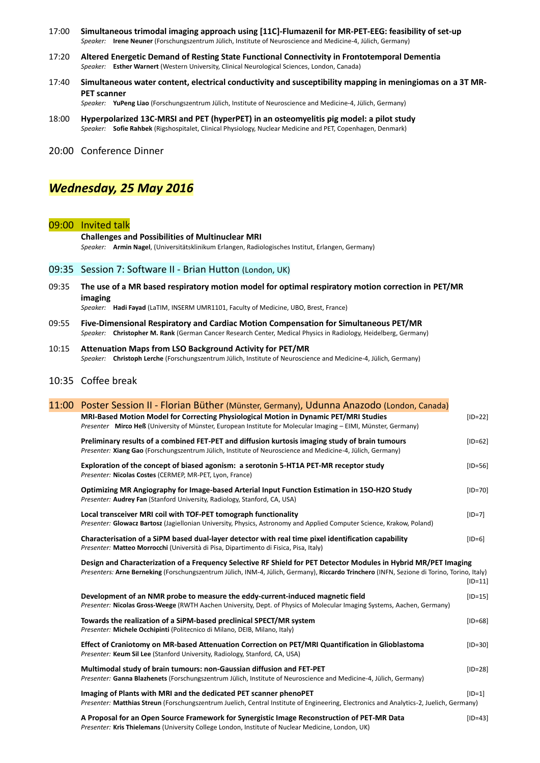- 17:00 **Simultaneous trimodal imaging approach using [11C]-Flumazenil for MR-PET-EEG: feasibility of set-up** *Speaker:* **Irene Neuner** (Forschungszentrum Jülich, Institute of Neuroscience and Medicine-4, Jülich, Germany)
- 17:20 **Altered Energetic Demand of Resting State Functional Connectivity in Frontotemporal Dementia** *Speaker:* **Esther Warnert** (Western University, Clinical Neurological Sciences, London, Canada)
- 17:40 **Simultaneous water content, electrical conductivity and susceptibility mapping in meningiomas on a 3T MR-PET scanner**

*Speaker:* **YuPeng Liao** (Forschungszentrum Jülich, Institute of Neuroscience and Medicine-4, Jülich, Germany)

18:00 **Hyperpolarized 13C-MRSI and PET (hyperPET) in an osteomyelitis pig model: a pilot study** *Speaker:* **Sofie Rahbek** (Rigshospitalet, Clinical Physiology, Nuclear Medicine and PET, Copenhagen, Denmark)

20:00 Conference Dinner

# *Wednesday, 25 May 2016*

### 09:00 Invited talk

**Challenges and Possibilities of Multinuclear MRI** *Speaker:* **Armin Nagel**, (Universitätsklinikum Erlangen, Radiologisches Institut, Erlangen, Germany)

#### 09:35 Session 7: Software II - Brian Hutton (London, UK)

09:35 **The use of a MR based respiratory motion model for optimal respiratory motion correction in PET/MR imaging**

*Speaker:* **Hadi Fayad** (LaTIM, INSERM UMR1101, Faculty of Medicine, UBO, Brest, France)

- 09:55 **Five-Dimensional Respiratory and Cardiac Motion Compensation for Simultaneous PET/MR** *Speaker:* **Christopher M. Rank** (German Cancer Research Center, Medical Physics in Radiology, Heidelberg, Germany)
- 10:15 **Attenuation Maps from LSO Background Activity for PET/MR** *Speaker:* **Christoph Lerche** (Forschungszentrum Jülich, Institute of Neuroscience and Medicine-4, Jülich, Germany)

## 10:35 Coffee break

|  | 11:00 Poster Session II - Florian Büther (Münster, Germany), Udunna Anazodo (London, Canada)                                                                                                                                                                                |           |  |  |
|--|-----------------------------------------------------------------------------------------------------------------------------------------------------------------------------------------------------------------------------------------------------------------------------|-----------|--|--|
|  | MRI-Based Motion Model for Correcting Physiological Motion in Dynamic PET/MRI Studies<br>Presenter Mirco Heß (University of Münster, European Institute for Molecular Imaging - EIMI, Münster, Germany)                                                                     | $[ID=22]$ |  |  |
|  | Preliminary results of a combined FET-PET and diffusion kurtosis imaging study of brain tumours<br>Presenter: Xiang Gao (Forschungszentrum Jülich, Institute of Neuroscience and Medicine-4, Jülich, Germany)                                                               | $[ID=62]$ |  |  |
|  | Exploration of the concept of biased agonism: a serotonin 5-HT1A PET-MR receptor study<br>Presenter: Nicolas Costes (CERMEP, MR-PET, Lyon, France)                                                                                                                          | $[ID=56]$ |  |  |
|  | Optimizing MR Angiography for Image-based Arterial Input Function Estimation in 150-H2O Study<br>Presenter: Audrey Fan (Stanford University, Radiology, Stanford, CA, USA)                                                                                                  | $[ID=70]$ |  |  |
|  | Local transceiver MRI coil with TOF-PET tomograph functionality<br>Presenter: Glowacz Bartosz (Jagiellonian University, Physics, Astronomy and Applied Computer Science, Krakow, Poland)                                                                                    | $[ID=7]$  |  |  |
|  | Characterisation of a SiPM based dual-layer detector with real time pixel identification capability<br>Presenter: Matteo Morrocchi (Università di Pisa, Dipartimento di Fisica, Pisa, Italy)                                                                                | $[ID=6]$  |  |  |
|  | Design and Characterization of a Frequency Selective RF Shield for PET Detector Modules in Hybrid MR/PET Imaging<br>Presenters: Arne Berneking (Forschungszentrum Jülich, INM-4, Jülich, Germany), Riccardo Trinchero (INFN, Sezione di Torino, Torino, Italy)<br>$[ID=11]$ |           |  |  |
|  | Development of an NMR probe to measure the eddy-current-induced magnetic field<br>Presenter: Nicolas Gross-Weege (RWTH Aachen University, Dept. of Physics of Molecular Imaging Systems, Aachen, Germany)                                                                   | $[ID=15]$ |  |  |
|  | Towards the realization of a SiPM-based preclinical SPECT/MR system<br>Presenter: Michele Occhipinti (Politecnico di Milano, DEIB, Milano, Italy)                                                                                                                           | $[ID=68]$ |  |  |
|  | Effect of Craniotomy on MR-based Attenuation Correction on PET/MRI Quantification in Glioblastoma<br>Presenter: Keum Sil Lee (Stanford University, Radiology, Stanford, CA, USA)                                                                                            | $[ID=30]$ |  |  |
|  | Multimodal study of brain tumours: non-Gaussian diffusion and FET-PET<br>Presenter: Ganna Blazhenets (Forschungszentrum Jülich, Institute of Neuroscience and Medicine-4, Jülich, Germany)                                                                                  | $[ID=28]$ |  |  |
|  | Imaging of Plants with MRI and the dedicated PET scanner phenoPET<br>Presenter: Matthias Streun (Forschungszentrum Juelich, Central Institute of Engineering, Electronics and Analytics-2, Juelich, Germany)                                                                | $[ID=1]$  |  |  |
|  | A Proposal for an Open Source Framework for Synergistic Image Reconstruction of PET-MR Data                                                                                                                                                                                 | $[ID=43]$ |  |  |

*Presenter:* **Kris Thielemans** (University College London, Institute of Nuclear Medicine, London, UK)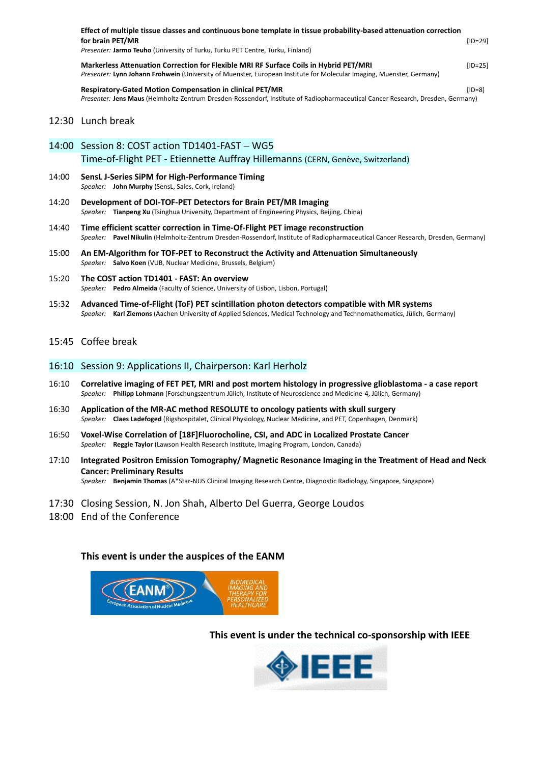|       | Effect of multiple tissue classes and continuous bone template in tissue probability-based attenuation correction<br>for brain PET/MR<br>Presenter: Jarmo Teuho (University of Turku, Turku PET Centre, Turku, Finland) | $[ID=29]$ |  |  |  |
|-------|-------------------------------------------------------------------------------------------------------------------------------------------------------------------------------------------------------------------------|-----------|--|--|--|
|       | Markerless Attenuation Correction for Flexible MRI RF Surface Coils in Hybrid PET/MRI<br>Presenter: Lynn Johann Frohwein (University of Muenster, European Institute for Molecular Imaging, Muenster, Germany)          | $[ID=25]$ |  |  |  |
|       | <b>Respiratory-Gated Motion Compensation in clinical PET/MR</b><br>Presenter: Jens Maus (Helmholtz-Zentrum Dresden-Rossendorf, Institute of Radiopharmaceutical Cancer Research, Dresden, Germany)                      | $[ID=8]$  |  |  |  |
|       | 12:30 Lunch break                                                                                                                                                                                                       |           |  |  |  |
| 14:00 | Session 8: COST action TD1401-FAST - WG5                                                                                                                                                                                |           |  |  |  |
|       | Time-of-Flight PET - Etiennette Auffray Hillemanns (CERN, Genève, Switzerland)                                                                                                                                          |           |  |  |  |
| 14:00 | SensL J-Series SiPM for High-Performance Timing<br>Speaker: John Murphy (SensL, Sales, Cork, Ireland)                                                                                                                   |           |  |  |  |
| 14:20 | Development of DOI-TOF-PET Detectors for Brain PET/MR Imaging<br>Speaker: Tianpeng Xu (Tsinghua University, Department of Engineering Physics, Beijing, China)                                                          |           |  |  |  |
| 14:40 | Time efficient scatter correction in Time-Of-Flight PET image reconstruction<br>Speaker: Pavel Nikulin (Helmholtz-Zentrum Dresden-Rossendorf, Institute of Radiopharmaceutical Cancer Research, Dresden, Germany)       |           |  |  |  |
| 15:00 | An EM-Algorithm for TOF-PET to Reconstruct the Activity and Attenuation Simultaneously<br>Speaker: Salvo Koen (VUB, Nuclear Medicine, Brussels, Belgium)                                                                |           |  |  |  |
| 15:20 | The COST action TD1401 - FAST: An overview<br>Speaker: Pedro Almeida (Faculty of Science, University of Lisbon, Lisbon, Portugal)                                                                                       |           |  |  |  |
| 15:32 | Advanced Time-of-Flight (ToF) PET scintillation photon detectors compatible with MR systems<br>Speaker: Karl Ziemons (Aachen University of Applied Sciences, Medical Technology and Technomathematics, Jülich, Germany) |           |  |  |  |
|       | 15:45 Coffee break                                                                                                                                                                                                      |           |  |  |  |

## 16:10 Session 9: Applications II, Chairperson: Karl Herholz

- 16:10 **Correlative imaging of FET PET, MRI and post mortem histology in progressive glioblastoma - a case report** *Speaker:* **Philipp Lohmann** (Forschungszentrum Jülich, Institute of Neuroscience and Medicine-4, Jülich, Germany)
- 16:30 **Application of the MR-AC method RESOLUTE to oncology patients with skull surgery** *Speaker:* **Claes Ladefoged** (Rigshospitalet, Clinical Physiology, Nuclear Medicine, and PET, Copenhagen, Denmark)
- 16:50 **Voxel-Wise Correlation of [18F]Fluorocholine, CSI, and ADC in Localized Prostate Cancer** *Speaker:* **Reggie Taylor** (Lawson Health Research Institute, Imaging Program, London, Canada)
- 17:10 **Integrated Positron Emission Tomography/ Magnetic Resonance Imaging in the Treatment of Head and Neck Cancer: Preliminary Results** *Speaker:* **Benjamin Thomas** (A\*Star-NUS Clinical Imaging Research Centre, Diagnostic Radiology, Singapore, Singapore)
- 17:30 Closing Session, N. Jon Shah, Alberto Del Guerra, George Loudos
- 18:00 End of the Conference

# **This event is under the auspices of the EANM**



**This event is under the technical co-sponsorship with IEEE**